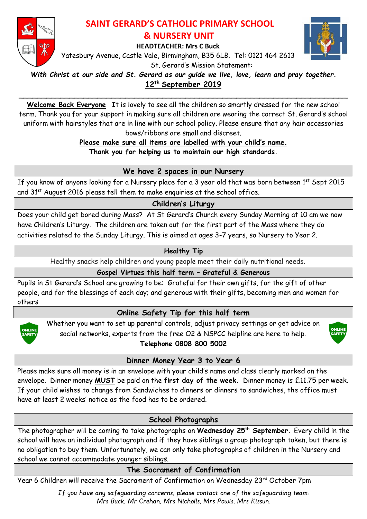

# **SAINT GERARD'S CATHOLIC PRIMARY SCHOOL & NURSERY UNIT**

**HEADTEACHER: Mrs C Buck**

Yatesbury Avenue, Castle Vale, Birmingham, B35 6LB. Tel: 0121 464 2613 St. Gerard's Mission Statement:



*With Christ at our side and St. Gerard as our guide we live, love, learn and pray together.*

**12th September 2019**  \_\_\_\_\_\_\_\_\_\_\_\_\_\_\_\_\_\_\_\_\_\_\_\_\_\_\_\_\_\_\_\_\_\_\_\_\_\_\_\_\_\_\_\_\_\_\_\_\_\_\_\_\_\_\_\_\_\_\_\_\_\_\_\_\_\_\_\_\_\_\_

**Welcome Back Everyone** It is lovely to see all the children so smartly dressed for the new school term. Thank you for your support in making sure all children are wearing the correct St. Gerard's school uniform with hairstyles that are in line with our school policy. Please ensure that any hair accessories bows/ribbons are small and discreet.

**Please make sure all items are labelled with your child's name.**

**Thank you for helping us to maintain our high standards.**

## **We have 2 spaces in our Nursery**

If you know of anyone looking for a Nursery place for a 3 year old that was born between 1<sup>st</sup> Sept 2015 and 31<sup>st</sup> August 2016 please tell them to make enquiries at the school office.

### **Children's Liturgy**

Does your child get bored during Mass? At St Gerard's Church every Sunday Morning at 10 am we now have Children's Liturgy. The children are taken out for the first part of the Mass where they do activities related to the Sunday Liturgy. This is aimed at ages 3-7 years, so Nursery to Year 2.

### **Healthy Tip**

Healthy snacks help children and young people meet their daily nutritional needs.

## **Gospel Virtues this half term – Grateful & Generous**

Pupils in St Gerard's School are growing to be: Grateful for their own gifts, for the gift of other people, and for the blessings of each day; and generous with their gifts, becoming men and women for others

# **Online Safety Tip for this half term**



Whether you want to set up parental controls, adjust privacy settings or get advice on social networks, experts from the free O2 & NSPCC helpline are here to help. **Telephone 0808 800 5002**



**Dinner Money Year 3 to Year 6**

Please make sure all money is in an envelope with your child's name and class clearly marked on the envelope. Dinner money **MUST** be paid on the **first day of the week.** Dinner money is £11.75 per week. If your child wishes to change from Sandwiches to dinners or dinners to sandwiches, the office must have at least 2 weeks' notice as the food has to be ordered.

## **School Photographs**

The photographer will be coming to take photographs on **Wednesday 25th September.** Every child in the school will have an individual photograph and if they have siblings a group photograph taken, but there is no obligation to buy them. Unfortunately, we can only take photographs of children in the Nursery and school we cannot accommodate younger siblings.

## **The Sacrament of Confirmation**

Year 6 Children will receive the Sacrament of Confirmation on Wednesday 23rd October 7pm

*If you have any safeguarding concerns, please contact one of the safeguarding team: Mrs Buck, Mr Crehan, Mrs Nicholls, Mrs Powis, Mrs Kissun.*